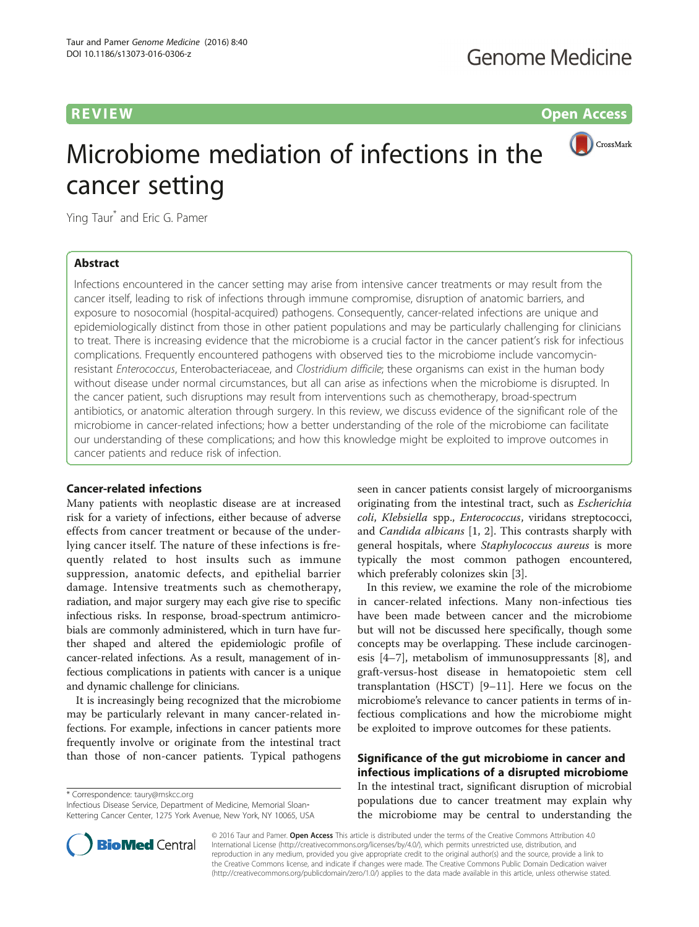**REVIEW REVIEW** *REVIEW REVIEW REVIEW REVIEW REVIEW REVIEW REVIEW REVIEW REVIEW* 

CrossMark

# Microbiome mediation of infections in the cancer setting



# Abstract

Infections encountered in the cancer setting may arise from intensive cancer treatments or may result from the cancer itself, leading to risk of infections through immune compromise, disruption of anatomic barriers, and exposure to nosocomial (hospital-acquired) pathogens. Consequently, cancer-related infections are unique and epidemiologically distinct from those in other patient populations and may be particularly challenging for clinicians to treat. There is increasing evidence that the microbiome is a crucial factor in the cancer patient's risk for infectious complications. Frequently encountered pathogens with observed ties to the microbiome include vancomycinresistant Enterococcus, Enterobacteriaceae, and Clostridium difficile; these organisms can exist in the human body without disease under normal circumstances, but all can arise as infections when the microbiome is disrupted. In the cancer patient, such disruptions may result from interventions such as chemotherapy, broad-spectrum antibiotics, or anatomic alteration through surgery. In this review, we discuss evidence of the significant role of the microbiome in cancer-related infections; how a better understanding of the role of the microbiome can facilitate our understanding of these complications; and how this knowledge might be exploited to improve outcomes in cancer patients and reduce risk of infection.

# Cancer-related infections

Many patients with neoplastic disease are at increased risk for a variety of infections, either because of adverse effects from cancer treatment or because of the underlying cancer itself. The nature of these infections is frequently related to host insults such as immune suppression, anatomic defects, and epithelial barrier damage. Intensive treatments such as chemotherapy, radiation, and major surgery may each give rise to specific infectious risks. In response, broad-spectrum antimicrobials are commonly administered, which in turn have further shaped and altered the epidemiologic profile of cancer-related infections. As a result, management of infectious complications in patients with cancer is a unique and dynamic challenge for clinicians.

It is increasingly being recognized that the microbiome may be particularly relevant in many cancer-related infections. For example, infections in cancer patients more frequently involve or originate from the intestinal tract than those of non-cancer patients. Typical pathogens

\* Correspondence: [taury@mskcc.org](mailto:taury@mskcc.org)

Infectious Disease Service, Department of Medicine, Memorial Sloan‐ Kettering Cancer Center, 1275 York Avenue, New York, NY 10065, USA seen in cancer patients consist largely of microorganisms originating from the intestinal tract, such as Escherichia coli, Klebsiella spp., Enterococcus, viridans streptococci, and Candida albicans [\[1](#page-5-0), [2\]](#page-5-0). This contrasts sharply with general hospitals, where Staphylococcus aureus is more typically the most common pathogen encountered, which preferably colonizes skin [\[3\]](#page-5-0).

In this review, we examine the role of the microbiome in cancer-related infections. Many non-infectious ties have been made between cancer and the microbiome but will not be discussed here specifically, though some concepts may be overlapping. These include carcinogenesis [\[4](#page-5-0)–[7](#page-5-0)], metabolism of immunosuppressants [\[8](#page-5-0)], and graft-versus-host disease in hematopoietic stem cell transplantation (HSCT) [[9](#page-5-0)–[11\]](#page-5-0). Here we focus on the microbiome's relevance to cancer patients in terms of infectious complications and how the microbiome might be exploited to improve outcomes for these patients.

Significance of the gut microbiome in cancer and infectious implications of a disrupted microbiome In the intestinal tract, significant disruption of microbial populations due to cancer treatment may explain why the microbiome may be central to understanding the



© 2016 Taur and Pamer. Open Access This article is distributed under the terms of the Creative Commons Attribution 4.0 International License [\(http://creativecommons.org/licenses/by/4.0/](http://creativecommons.org/licenses/by/4.0/)), which permits unrestricted use, distribution, and reproduction in any medium, provided you give appropriate credit to the original author(s) and the source, provide a link to the Creative Commons license, and indicate if changes were made. The Creative Commons Public Domain Dedication waiver [\(http://creativecommons.org/publicdomain/zero/1.0/](http://creativecommons.org/publicdomain/zero/1.0/)) applies to the data made available in this article, unless otherwise stated.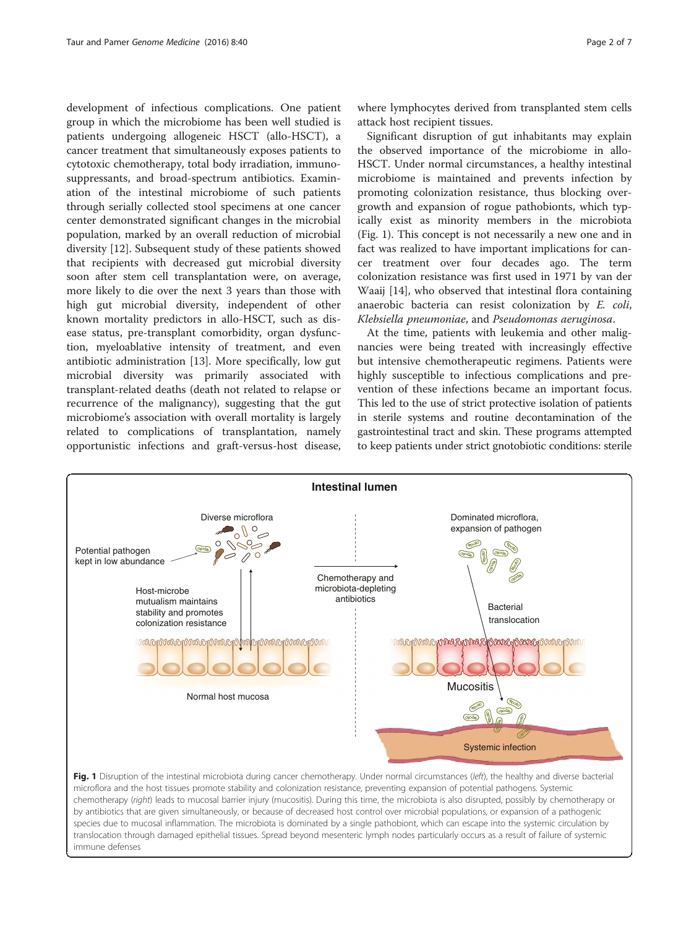<span id="page-1-0"></span>development of infectious complications. One patient group in which the microbiome has been well studied is patients undergoing allogeneic HSCT (allo-HSCT), a cancer treatment that simultaneously exposes patients to cytotoxic chemotherapy, total body irradiation, immunosuppressants, and broad-spectrum antibiotics. Examination of the intestinal microbiome of such patients through serially collected stool specimens at one cancer center demonstrated significant changes in the microbial population, marked by an overall reduction of microbial diversity [[12\]](#page-5-0). Subsequent study of these patients showed that recipients with decreased gut microbial diversity soon after stem cell transplantation were, on average, more likely to die over the next 3 years than those with high gut microbial diversity, independent of other known mortality predictors in allo-HSCT, such as disease status, pre-transplant comorbidity, organ dysfunction, myeloablative intensity of treatment, and even antibiotic administration [[13\]](#page-5-0). More specifically, low gut microbial diversity was primarily associated with transplant-related deaths (death not related to relapse or recurrence of the malignancy), suggesting that the gut microbiome's association with overall mortality is largely related to complications of transplantation, namely opportunistic infections and graft-versus-host disease,

where lymphocytes derived from transplanted stem cells attack host recipient tissues.

Significant disruption of gut inhabitants may explain the observed importance of the microbiome in allo-HSCT. Under normal circumstances, a healthy intestinal microbiome is maintained and prevents infection by promoting colonization resistance, thus blocking overgrowth and expansion of rogue pathobionts, which typically exist as minority members in the microbiota (Fig. 1). This concept is not necessarily a new one and in fact was realized to have important implications for cancer treatment over four decades ago. The term colonization resistance was first used in 1971 by van der Waaij [[14\]](#page-5-0), who observed that intestinal flora containing anaerobic bacteria can resist colonization by E. coli, Klebsiella pneumoniae, and Pseudomonas aeruginosa.

At the time, patients with leukemia and other malignancies were being treated with increasingly effective but intensive chemotherapeutic regimens. Patients were highly susceptible to infectious complications and prevention of these infections became an important focus. This led to the use of strict protective isolation of patients in sterile systems and routine decontamination of the gastrointestinal tract and skin. These programs attempted to keep patients under strict gnotobiotic conditions: sterile

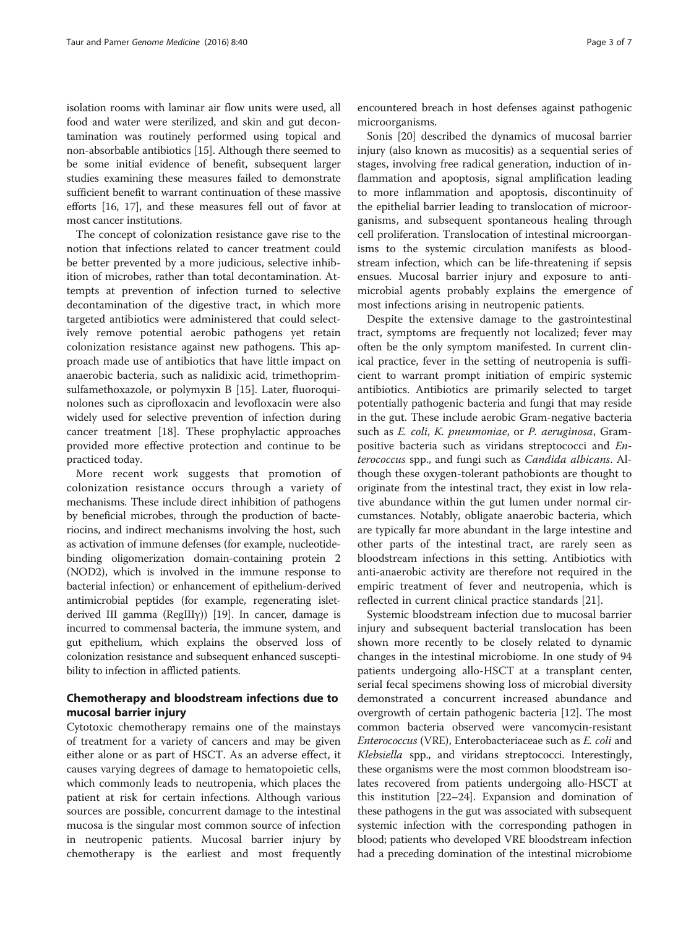isolation rooms with laminar air flow units were used, all food and water were sterilized, and skin and gut decontamination was routinely performed using topical and non-absorbable antibiotics [\[15](#page-5-0)]. Although there seemed to be some initial evidence of benefit, subsequent larger studies examining these measures failed to demonstrate sufficient benefit to warrant continuation of these massive efforts [[16](#page-5-0), [17\]](#page-5-0), and these measures fell out of favor at most cancer institutions.

The concept of colonization resistance gave rise to the notion that infections related to cancer treatment could be better prevented by a more judicious, selective inhibition of microbes, rather than total decontamination. Attempts at prevention of infection turned to selective decontamination of the digestive tract, in which more targeted antibiotics were administered that could selectively remove potential aerobic pathogens yet retain colonization resistance against new pathogens. This approach made use of antibiotics that have little impact on anaerobic bacteria, such as nalidixic acid, trimethoprimsulfamethoxazole, or polymyxin B [\[15\]](#page-5-0). Later, fluoroquinolones such as ciprofloxacin and levofloxacin were also widely used for selective prevention of infection during cancer treatment [[18\]](#page-5-0). These prophylactic approaches provided more effective protection and continue to be practiced today.

More recent work suggests that promotion of colonization resistance occurs through a variety of mechanisms. These include direct inhibition of pathogens by beneficial microbes, through the production of bacteriocins, and indirect mechanisms involving the host, such as activation of immune defenses (for example, nucleotidebinding oligomerization domain-containing protein 2 (NOD2), which is involved in the immune response to bacterial infection) or enhancement of epithelium-derived antimicrobial peptides (for example, regenerating isletderived III gamma (RegIIIγ)) [\[19](#page-5-0)]. In cancer, damage is incurred to commensal bacteria, the immune system, and gut epithelium, which explains the observed loss of colonization resistance and subsequent enhanced susceptibility to infection in afflicted patients.

# Chemotherapy and bloodstream infections due to mucosal barrier injury

Cytotoxic chemotherapy remains one of the mainstays of treatment for a variety of cancers and may be given either alone or as part of HSCT. As an adverse effect, it causes varying degrees of damage to hematopoietic cells, which commonly leads to neutropenia, which places the patient at risk for certain infections. Although various sources are possible, concurrent damage to the intestinal mucosa is the singular most common source of infection in neutropenic patients. Mucosal barrier injury by chemotherapy is the earliest and most frequently encountered breach in host defenses against pathogenic microorganisms.

Sonis [[20\]](#page-5-0) described the dynamics of mucosal barrier injury (also known as mucositis) as a sequential series of stages, involving free radical generation, induction of inflammation and apoptosis, signal amplification leading to more inflammation and apoptosis, discontinuity of the epithelial barrier leading to translocation of microorganisms, and subsequent spontaneous healing through cell proliferation. Translocation of intestinal microorganisms to the systemic circulation manifests as bloodstream infection, which can be life-threatening if sepsis ensues. Mucosal barrier injury and exposure to antimicrobial agents probably explains the emergence of most infections arising in neutropenic patients.

Despite the extensive damage to the gastrointestinal tract, symptoms are frequently not localized; fever may often be the only symptom manifested. In current clinical practice, fever in the setting of neutropenia is sufficient to warrant prompt initiation of empiric systemic antibiotics. Antibiotics are primarily selected to target potentially pathogenic bacteria and fungi that may reside in the gut. These include aerobic Gram-negative bacteria such as *E. coli, K. pneumoniae*, or *P. aeruginosa*, Grampositive bacteria such as viridans streptococci and Enterococcus spp., and fungi such as Candida albicans. Although these oxygen-tolerant pathobionts are thought to originate from the intestinal tract, they exist in low relative abundance within the gut lumen under normal circumstances. Notably, obligate anaerobic bacteria, which are typically far more abundant in the large intestine and other parts of the intestinal tract, are rarely seen as bloodstream infections in this setting. Antibiotics with anti-anaerobic activity are therefore not required in the empiric treatment of fever and neutropenia, which is reflected in current clinical practice standards [[21\]](#page-5-0).

Systemic bloodstream infection due to mucosal barrier injury and subsequent bacterial translocation has been shown more recently to be closely related to dynamic changes in the intestinal microbiome. In one study of 94 patients undergoing allo-HSCT at a transplant center, serial fecal specimens showing loss of microbial diversity demonstrated a concurrent increased abundance and overgrowth of certain pathogenic bacteria [\[12\]](#page-5-0). The most common bacteria observed were vancomycin-resistant Enterococcus (VRE), Enterobacteriaceae such as E. coli and Klebsiella spp., and viridans streptococci. Interestingly, these organisms were the most common bloodstream isolates recovered from patients undergoing allo-HSCT at this institution [\[22](#page-5-0)–[24](#page-5-0)]. Expansion and domination of these pathogens in the gut was associated with subsequent systemic infection with the corresponding pathogen in blood; patients who developed VRE bloodstream infection had a preceding domination of the intestinal microbiome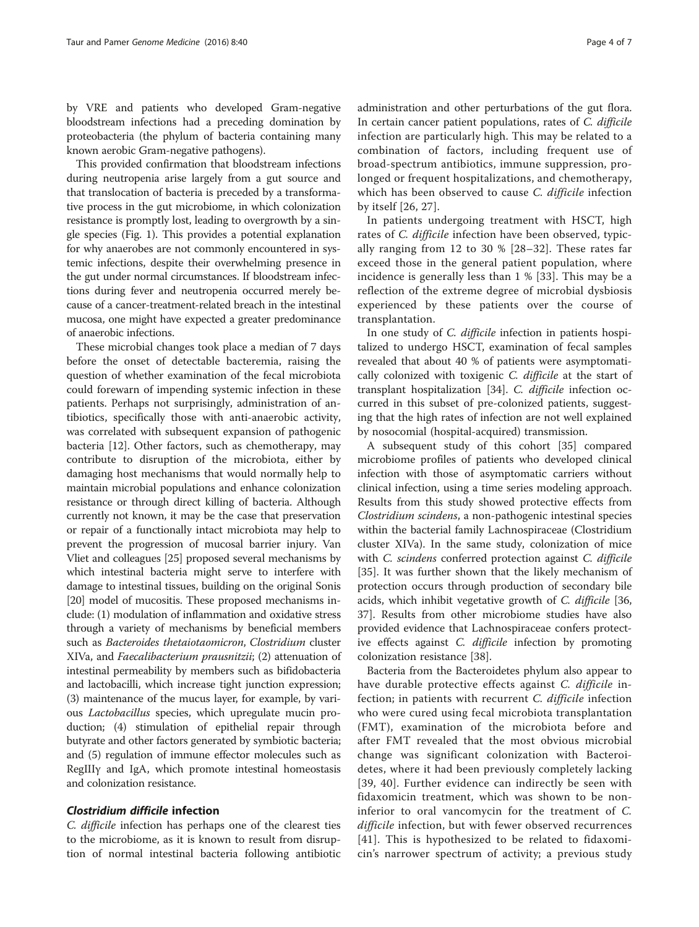by VRE and patients who developed Gram-negative bloodstream infections had a preceding domination by proteobacteria (the phylum of bacteria containing many known aerobic Gram-negative pathogens).

This provided confirmation that bloodstream infections during neutropenia arise largely from a gut source and that translocation of bacteria is preceded by a transformative process in the gut microbiome, in which colonization resistance is promptly lost, leading to overgrowth by a single species (Fig. [1](#page-1-0)). This provides a potential explanation for why anaerobes are not commonly encountered in systemic infections, despite their overwhelming presence in the gut under normal circumstances. If bloodstream infections during fever and neutropenia occurred merely because of a cancer-treatment-related breach in the intestinal mucosa, one might have expected a greater predominance of anaerobic infections.

These microbial changes took place a median of 7 days before the onset of detectable bacteremia, raising the question of whether examination of the fecal microbiota could forewarn of impending systemic infection in these patients. Perhaps not surprisingly, administration of antibiotics, specifically those with anti-anaerobic activity, was correlated with subsequent expansion of pathogenic bacteria [[12](#page-5-0)]. Other factors, such as chemotherapy, may contribute to disruption of the microbiota, either by damaging host mechanisms that would normally help to maintain microbial populations and enhance colonization resistance or through direct killing of bacteria. Although currently not known, it may be the case that preservation or repair of a functionally intact microbiota may help to prevent the progression of mucosal barrier injury. Van Vliet and colleagues [\[25\]](#page-5-0) proposed several mechanisms by which intestinal bacteria might serve to interfere with damage to intestinal tissues, building on the original Sonis [[20](#page-5-0)] model of mucositis. These proposed mechanisms include: (1) modulation of inflammation and oxidative stress through a variety of mechanisms by beneficial members such as Bacteroides thetaiotaomicron, Clostridium cluster XIVa, and Faecalibacterium prausnitzii; (2) attenuation of intestinal permeability by members such as bifidobacteria and lactobacilli, which increase tight junction expression; (3) maintenance of the mucus layer, for example, by various Lactobacillus species, which upregulate mucin production; (4) stimulation of epithelial repair through butyrate and other factors generated by symbiotic bacteria; and (5) regulation of immune effector molecules such as RegIIIγ and IgA, which promote intestinal homeostasis and colonization resistance.

## Clostridium difficile infection

C. difficile infection has perhaps one of the clearest ties to the microbiome, as it is known to result from disruption of normal intestinal bacteria following antibiotic administration and other perturbations of the gut flora. In certain cancer patient populations, rates of C. difficile infection are particularly high. This may be related to a combination of factors, including frequent use of broad-spectrum antibiotics, immune suppression, prolonged or frequent hospitalizations, and chemotherapy, which has been observed to cause C. difficile infection by itself [[26](#page-5-0), [27](#page-5-0)].

In patients undergoing treatment with HSCT, high rates of C. difficile infection have been observed, typically ranging from 12 to 30 % [\[28](#page-5-0)–[32\]](#page-6-0). These rates far exceed those in the general patient population, where incidence is generally less than 1 % [\[33](#page-6-0)]. This may be a reflection of the extreme degree of microbial dysbiosis experienced by these patients over the course of transplantation.

In one study of C. difficile infection in patients hospitalized to undergo HSCT, examination of fecal samples revealed that about 40 % of patients were asymptomatically colonized with toxigenic C. difficile at the start of transplant hospitalization [[34\]](#page-6-0). C. difficile infection occurred in this subset of pre-colonized patients, suggesting that the high rates of infection are not well explained by nosocomial (hospital-acquired) transmission.

A subsequent study of this cohort [[35](#page-6-0)] compared microbiome profiles of patients who developed clinical infection with those of asymptomatic carriers without clinical infection, using a time series modeling approach. Results from this study showed protective effects from Clostridium scindens, a non-pathogenic intestinal species within the bacterial family Lachnospiraceae (Clostridium cluster XIVa). In the same study, colonization of mice with *C. scindens* conferred protection against *C. difficile* [[35\]](#page-6-0). It was further shown that the likely mechanism of protection occurs through production of secondary bile acids, which inhibit vegetative growth of C. difficile [[36](#page-6-0), [37\]](#page-6-0). Results from other microbiome studies have also provided evidence that Lachnospiraceae confers protective effects against C. difficile infection by promoting colonization resistance [[38\]](#page-6-0).

Bacteria from the Bacteroidetes phylum also appear to have durable protective effects against C. difficile infection; in patients with recurrent C. difficile infection who were cured using fecal microbiota transplantation (FMT), examination of the microbiota before and after FMT revealed that the most obvious microbial change was significant colonization with Bacteroidetes, where it had been previously completely lacking [[39](#page-6-0), [40\]](#page-6-0). Further evidence can indirectly be seen with fidaxomicin treatment, which was shown to be noninferior to oral vancomycin for the treatment of C. difficile infection, but with fewer observed recurrences [[41](#page-6-0)]. This is hypothesized to be related to fidaxomicin's narrower spectrum of activity; a previous study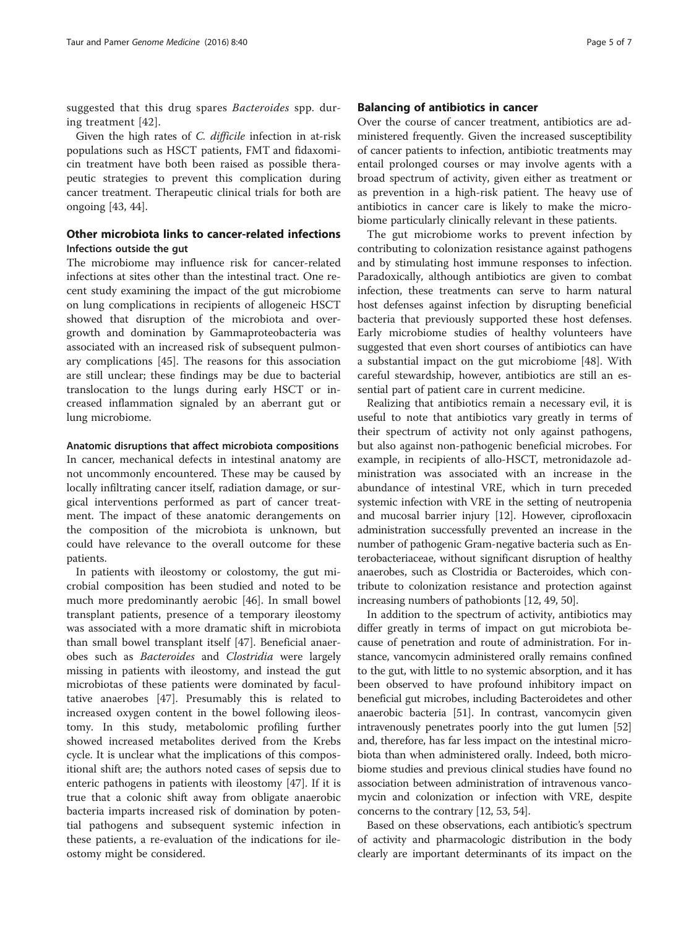suggested that this drug spares Bacteroides spp. during treatment [\[42](#page-6-0)].

Given the high rates of C. difficile infection in at-risk populations such as HSCT patients, FMT and fidaxomicin treatment have both been raised as possible therapeutic strategies to prevent this complication during cancer treatment. Therapeutic clinical trials for both are ongoing [[43, 44\]](#page-6-0).

# Other microbiota links to cancer-related infections Infections outside the gut

The microbiome may influence risk for cancer-related infections at sites other than the intestinal tract. One recent study examining the impact of the gut microbiome on lung complications in recipients of allogeneic HSCT showed that disruption of the microbiota and overgrowth and domination by Gammaproteobacteria was associated with an increased risk of subsequent pulmonary complications [\[45](#page-6-0)]. The reasons for this association are still unclear; these findings may be due to bacterial translocation to the lungs during early HSCT or increased inflammation signaled by an aberrant gut or lung microbiome.

#### Anatomic disruptions that affect microbiota compositions

In cancer, mechanical defects in intestinal anatomy are not uncommonly encountered. These may be caused by locally infiltrating cancer itself, radiation damage, or surgical interventions performed as part of cancer treatment. The impact of these anatomic derangements on the composition of the microbiota is unknown, but could have relevance to the overall outcome for these patients.

In patients with ileostomy or colostomy, the gut microbial composition has been studied and noted to be much more predominantly aerobic [\[46](#page-6-0)]. In small bowel transplant patients, presence of a temporary ileostomy was associated with a more dramatic shift in microbiota than small bowel transplant itself [[47\]](#page-6-0). Beneficial anaerobes such as Bacteroides and Clostridia were largely missing in patients with ileostomy, and instead the gut microbiotas of these patients were dominated by facultative anaerobes [\[47](#page-6-0)]. Presumably this is related to increased oxygen content in the bowel following ileostomy. In this study, metabolomic profiling further showed increased metabolites derived from the Krebs cycle. It is unclear what the implications of this compositional shift are; the authors noted cases of sepsis due to enteric pathogens in patients with ileostomy [\[47\]](#page-6-0). If it is true that a colonic shift away from obligate anaerobic bacteria imparts increased risk of domination by potential pathogens and subsequent systemic infection in these patients, a re-evaluation of the indications for ileostomy might be considered.

#### Balancing of antibiotics in cancer

Over the course of cancer treatment, antibiotics are administered frequently. Given the increased susceptibility of cancer patients to infection, antibiotic treatments may entail prolonged courses or may involve agents with a broad spectrum of activity, given either as treatment or as prevention in a high-risk patient. The heavy use of antibiotics in cancer care is likely to make the microbiome particularly clinically relevant in these patients.

The gut microbiome works to prevent infection by contributing to colonization resistance against pathogens and by stimulating host immune responses to infection. Paradoxically, although antibiotics are given to combat infection, these treatments can serve to harm natural host defenses against infection by disrupting beneficial bacteria that previously supported these host defenses. Early microbiome studies of healthy volunteers have suggested that even short courses of antibiotics can have a substantial impact on the gut microbiome [\[48](#page-6-0)]. With careful stewardship, however, antibiotics are still an essential part of patient care in current medicine.

Realizing that antibiotics remain a necessary evil, it is useful to note that antibiotics vary greatly in terms of their spectrum of activity not only against pathogens, but also against non-pathogenic beneficial microbes. For example, in recipients of allo-HSCT, metronidazole administration was associated with an increase in the abundance of intestinal VRE, which in turn preceded systemic infection with VRE in the setting of neutropenia and mucosal barrier injury [\[12\]](#page-5-0). However, ciprofloxacin administration successfully prevented an increase in the number of pathogenic Gram-negative bacteria such as Enterobacteriaceae, without significant disruption of healthy anaerobes, such as Clostridia or Bacteroides, which contribute to colonization resistance and protection against increasing numbers of pathobionts [\[12](#page-5-0), [49](#page-6-0), [50\]](#page-6-0).

In addition to the spectrum of activity, antibiotics may differ greatly in terms of impact on gut microbiota because of penetration and route of administration. For instance, vancomycin administered orally remains confined to the gut, with little to no systemic absorption, and it has been observed to have profound inhibitory impact on beneficial gut microbes, including Bacteroidetes and other anaerobic bacteria [\[51\]](#page-6-0). In contrast, vancomycin given intravenously penetrates poorly into the gut lumen [[52](#page-6-0)] and, therefore, has far less impact on the intestinal microbiota than when administered orally. Indeed, both microbiome studies and previous clinical studies have found no association between administration of intravenous vancomycin and colonization or infection with VRE, despite concerns to the contrary [[12](#page-5-0), [53, 54\]](#page-6-0).

Based on these observations, each antibiotic's spectrum of activity and pharmacologic distribution in the body clearly are important determinants of its impact on the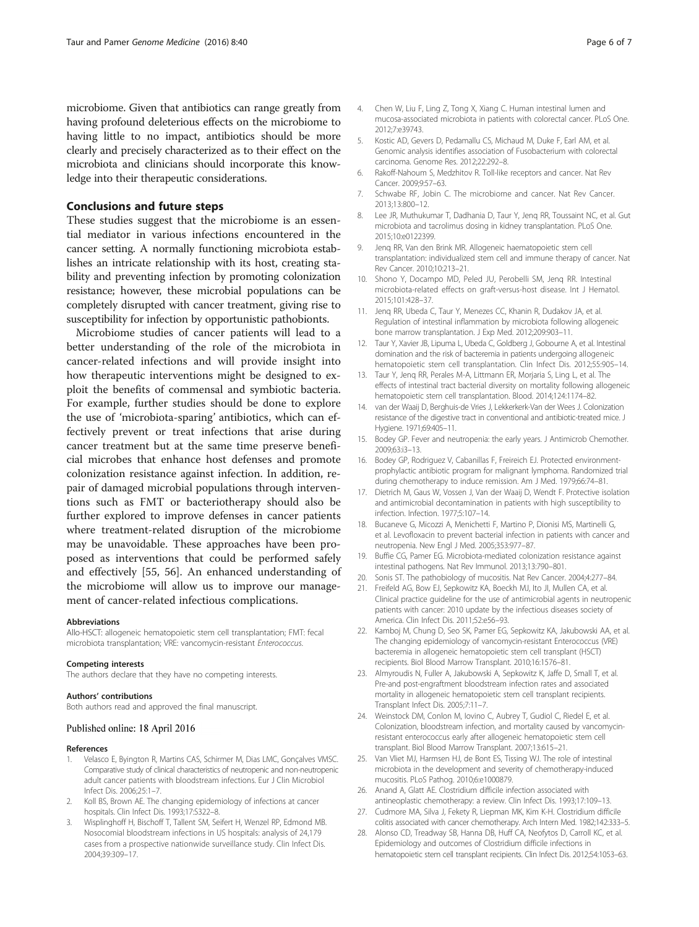<span id="page-5-0"></span>microbiome. Given that antibiotics can range greatly from having profound deleterious effects on the microbiome to having little to no impact, antibiotics should be more clearly and precisely characterized as to their effect on the microbiota and clinicians should incorporate this knowledge into their therapeutic considerations.

### Conclusions and future steps

These studies suggest that the microbiome is an essential mediator in various infections encountered in the cancer setting. A normally functioning microbiota establishes an intricate relationship with its host, creating stability and preventing infection by promoting colonization resistance; however, these microbial populations can be completely disrupted with cancer treatment, giving rise to susceptibility for infection by opportunistic pathobionts.

Microbiome studies of cancer patients will lead to a better understanding of the role of the microbiota in cancer-related infections and will provide insight into how therapeutic interventions might be designed to exploit the benefits of commensal and symbiotic bacteria. For example, further studies should be done to explore the use of 'microbiota-sparing' antibiotics, which can effectively prevent or treat infections that arise during cancer treatment but at the same time preserve beneficial microbes that enhance host defenses and promote colonization resistance against infection. In addition, repair of damaged microbial populations through interventions such as FMT or bacteriotherapy should also be further explored to improve defenses in cancer patients where treatment-related disruption of the microbiome may be unavoidable. These approaches have been proposed as interventions that could be performed safely and effectively [\[55, 56](#page-6-0)]. An enhanced understanding of the microbiome will allow us to improve our management of cancer-related infectious complications.

#### Abbreviations

Allo-HSCT: allogeneic hematopoietic stem cell transplantation; FMT: fecal microbiota transplantation; VRE: vancomycin-resistant Enterococcus.

#### Competing interests

The authors declare that they have no competing interests.

#### Authors' contributions

Both authors read and approved the final manuscript.

#### Published online: 18 April 2016

#### References

- Velasco E, Byington R, Martins CAS, Schirmer M, Dias LMC, Gonçalves VMSC. Comparative study of clinical characteristics of neutropenic and non-neutropenic adult cancer patients with bloodstream infections. Eur J Clin Microbiol Infect Dis. 2006;25:1–7.
- 2. Koll BS, Brown AE. The changing epidemiology of infections at cancer hospitals. Clin Infect Dis. 1993;17:S322–8.
- 3. Wisplinghoff H, Bischoff T, Tallent SM, Seifert H, Wenzel RP, Edmond MB. Nosocomial bloodstream infections in US hospitals: analysis of 24,179 cases from a prospective nationwide surveillance study. Clin Infect Dis. 2004;39:309–17.
- 4. Chen W, Liu F, Ling Z, Tong X, Xiang C. Human intestinal lumen and mucosa-associated microbiota in patients with colorectal cancer. PLoS One. 2012;7:e39743.
- 5. Kostic AD, Gevers D, Pedamallu CS, Michaud M, Duke F, Earl AM, et al. Genomic analysis identifies association of Fusobacterium with colorectal carcinoma. Genome Res. 2012;22:292–8.
- 6. Rakoff-Nahoum S, Medzhitov R. Toll-like receptors and cancer. Nat Rev Cancer. 2009;9:57–63.
- 7. Schwabe RF, Jobin C. The microbiome and cancer. Nat Rev Cancer. 2013;13:800–12.
- 8. Lee JR, Muthukumar T, Dadhania D, Taur Y, Jenq RR, Toussaint NC, et al. Gut microbiota and tacrolimus dosing in kidney transplantation. PLoS One. 2015;10:e0122399.
- 9. Jenq RR, Van den Brink MR. Allogeneic haematopoietic stem cell transplantation: individualized stem cell and immune therapy of cancer. Nat Rev Cancer. 2010;10:213–21.
- 10. Shono Y, Docampo MD, Peled JU, Perobelli SM, Jenq RR. Intestinal microbiota-related effects on graft-versus-host disease. Int J Hematol. 2015;101:428–37.
- 11. Jenq RR, Ubeda C, Taur Y, Menezes CC, Khanin R, Dudakov JA, et al. Regulation of intestinal inflammation by microbiota following allogeneic bone marrow transplantation. J Exp Med. 2012;209:903–11.
- 12. Taur Y, Xavier JB, Lipuma L, Ubeda C, Goldberg J, Gobourne A, et al. Intestinal domination and the risk of bacteremia in patients undergoing allogeneic hematopoietic stem cell transplantation. Clin Infect Dis. 2012;55:905–14.
- 13. Taur Y, Jenq RR, Perales M-A, Littmann ER, Morjaria S, Ling L, et al. The effects of intestinal tract bacterial diversity on mortality following allogeneic hematopoietic stem cell transplantation. Blood. 2014;124:1174–82.
- 14. van der Waaij D, Berghuis-de Vries J, Lekkerkerk-Van der Wees J. Colonization resistance of the digestive tract in conventional and antibiotic-treated mice. J Hygiene. 1971;69:405–11.
- 15. Bodey GP. Fever and neutropenia: the early years. J Antimicrob Chemother. 2009;63:i3–13.
- 16. Bodey GP, Rodriguez V, Cabanillas F, Freireich EJ. Protected environmentprophylactic antibiotic program for malignant lymphoma. Randomized trial during chemotherapy to induce remission. Am J Med. 1979;66:74–81.
- 17. Dietrich M, Gaus W, Vossen J, Van der Waaij D, Wendt F. Protective isolation and antimicrobial decontamination in patients with high susceptibility to infection. Infection. 1977;5:107–14.
- 18. Bucaneve G, Micozzi A, Menichetti F, Martino P, Dionisi MS, Martinelli G, et al. Levofloxacin to prevent bacterial infection in patients with cancer and neutropenia. New Engl J Med. 2005;353:977–87.
- 19. Buffie CG, Pamer EG. Microbiota-mediated colonization resistance against intestinal pathogens. Nat Rev Immunol. 2013;13:790–801.
- 20. Sonis ST. The pathobiology of mucositis. Nat Rev Cancer. 2004;4:277–84.
- 21. Freifeld AG, Bow EJ, Sepkowitz KA, Boeckh MJ, Ito JI, Mullen CA, et al. Clinical practice guideline for the use of antimicrobial agents in neutropenic patients with cancer: 2010 update by the infectious diseases society of America. Clin Infect Dis. 2011;52:e56–93.
- 22. Kamboj M, Chung D, Seo SK, Pamer EG, Sepkowitz KA, Jakubowski AA, et al. The changing epidemiology of vancomycin-resistant Enterococcus (VRE) bacteremia in allogeneic hematopoietic stem cell transplant (HSCT) recipients. Biol Blood Marrow Transplant. 2010;16:1576–81.
- 23. Almyroudis N, Fuller A, Jakubowski A, Sepkowitz K, Jaffe D, Small T, et al. Pre-and post-engraftment bloodstream infection rates and associated mortality in allogeneic hematopoietic stem cell transplant recipients. Transplant Infect Dis. 2005;7:11–7.
- 24. Weinstock DM, Conlon M, Iovino C, Aubrey T, Gudiol C, Riedel E, et al. Colonization, bloodstream infection, and mortality caused by vancomycinresistant enterococcus early after allogeneic hematopoietic stem cell transplant. Biol Blood Marrow Transplant. 2007;13:615–21.
- 25. Van Vliet MJ, Harmsen HJ, de Bont ES, Tissing WJ. The role of intestinal microbiota in the development and severity of chemotherapy-induced mucositis. PLoS Pathog. 2010;6:e1000879.
- 26. Anand A, Glatt AE. Clostridium difficile infection associated with antineoplastic chemotherapy: a review. Clin Infect Dis. 1993;17:109–13.
- 27. Cudmore MA, Silva J, Fekety R, Liepman MK, Kim K-H. Clostridium difficile colitis associated with cancer chemotherapy. Arch Intern Med. 1982;142:333–5.
- 28. Alonso CD, Treadway SB, Hanna DB, Huff CA, Neofytos D, Carroll KC, et al. Epidemiology and outcomes of Clostridium difficile infections in hematopoietic stem cell transplant recipients. Clin Infect Dis. 2012;54:1053–63.